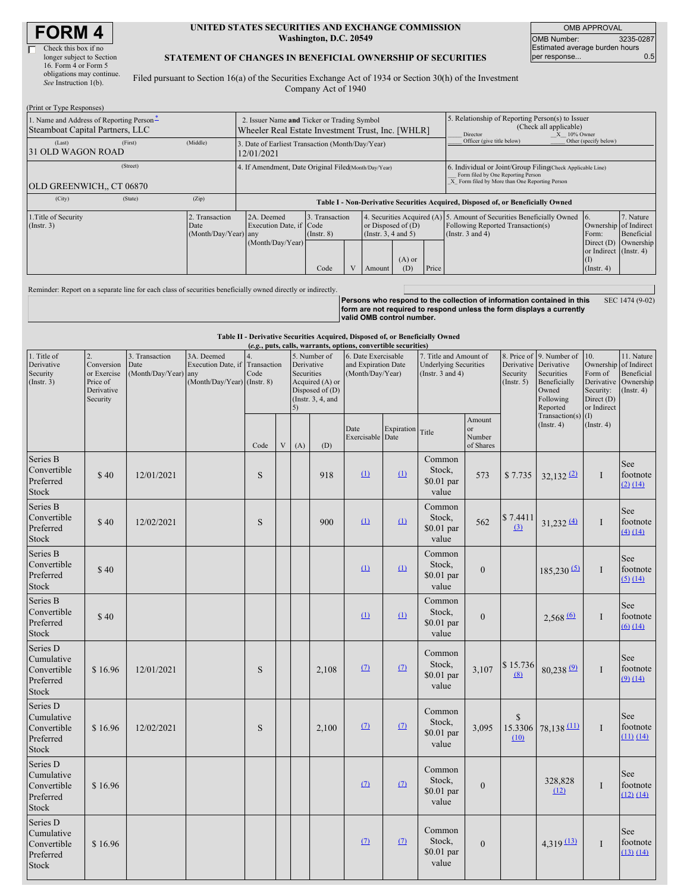# **FORM 4**

Preferred Stock

Series D Cumulative Convertible Preferred Stock

\$ 16.96

| Check this box if no      |
|---------------------------|
| longer subject to Section |
| 16. Form 4 or Form 5      |
| obligations may continue. |
| See Instruction 1(b).     |

#### **UNITED STATES SECURITIES AND EXCHANGE COMMISSION Washington, D.C. 20549**

OMB APPROVAL OMB Number: 3235-0287 Estimated average burden hours<br>per response... 0.5 per response...

### **STATEMENT OF CHANGES IN BENEFICIAL OWNERSHIP OF SECURITIES**

Filed pursuant to Section 16(a) of the Securities Exchange Act of 1934 or Section 30(h) of the Investment Company Act of 1940

| (Print or Type Responses)                                                                  |         |                                                                                                  |                                                                                                |      |  |                                                  |                 |                                                                                                                                                    |                                                                                                                                     |                                                       |                                      |
|--------------------------------------------------------------------------------------------|---------|--------------------------------------------------------------------------------------------------|------------------------------------------------------------------------------------------------|------|--|--------------------------------------------------|-----------------|----------------------------------------------------------------------------------------------------------------------------------------------------|-------------------------------------------------------------------------------------------------------------------------------------|-------------------------------------------------------|--------------------------------------|
| 1. Name and Address of Reporting Person-<br>Steamboat Capital Partners, LLC                |         | 2. Issuer Name and Ticker or Trading Symbol<br>Wheeler Real Estate Investment Trust, Inc. [WHLR] |                                                                                                |      |  |                                                  |                 | 5. Relationship of Reporting Person(s) to Issuer<br>(Check all applicable)<br>X 10% Owner<br>Director                                              |                                                                                                                                     |                                                       |                                      |
| (Last)<br>31 OLD WAGON ROAD                                                                | (First) | (Middle)                                                                                         | 3. Date of Earliest Transaction (Month/Day/Year)<br>12/01/2021                                 |      |  |                                                  |                 |                                                                                                                                                    | Officer (give title below)                                                                                                          | Other (specify below)                                 |                                      |
| <b>OLD GREENWICH., CT 06870</b>                                                            |         | 4. If Amendment, Date Original Filed(Month/Day/Year)                                             |                                                                                                |      |  |                                                  |                 | 6. Individual or Joint/Group Filing(Check Applicable Line)<br>Form filed by One Reporting Person<br>X Form filed by More than One Reporting Person |                                                                                                                                     |                                                       |                                      |
| (City)                                                                                     | (State) | (Zip)                                                                                            | Table I - Non-Derivative Securities Acquired, Disposed of, or Beneficially Owned               |      |  |                                                  |                 |                                                                                                                                                    |                                                                                                                                     |                                                       |                                      |
| 1. Title of Security<br>2. Transaction<br>$($ Instr. 3 $)$<br>Date<br>(Month/Day/Year) any |         |                                                                                                  | 2A. Deemed<br>3. Transaction<br>Execution Date, if Code<br>$($ Instr. $8)$<br>(Month/Day/Year) |      |  | or Disposed of $(D)$<br>(Instr. $3, 4$ and $5$ ) |                 |                                                                                                                                                    | 4. Securities Acquired (A) 5. Amount of Securities Beneficially Owned<br>Following Reported Transaction(s)<br>(Instr. $3$ and $4$ ) | 16.<br>Ownership of Indirect<br>Form:<br>Direct $(D)$ | 7. Nature<br>Beneficial<br>Ownership |
|                                                                                            |         |                                                                                                  |                                                                                                | Code |  | Amount                                           | $(A)$ or<br>(D) | Price                                                                                                                                              |                                                                                                                                     | or Indirect (Instr. 4)<br>(I)<br>$($ Instr. 4 $)$     |                                      |
|                                                                                            |         |                                                                                                  |                                                                                                |      |  |                                                  |                 |                                                                                                                                                    |                                                                                                                                     |                                                       |                                      |

Reminder: Report on a separate line for each class of securities beneficially owned directly or indirectly. **Persons who respond to the collection of information contained in this form are not required to respond unless the form displays a currently valid OMB control number.** SEC 1474 (9-02)

|                                                                    |                                                                       |                                                |                                                                   |                                         |                           |                                                                                                              |       | (e.g., puts, calls, warrants, options, convertible securities) |                    | Table II - Derivative Securities Acquired, Disposed of, or Beneficially Owned   |                                           |                                                                 |                                                                              |                                                                        |                                                                                    |
|--------------------------------------------------------------------|-----------------------------------------------------------------------|------------------------------------------------|-------------------------------------------------------------------|-----------------------------------------|---------------------------|--------------------------------------------------------------------------------------------------------------|-------|----------------------------------------------------------------|--------------------|---------------------------------------------------------------------------------|-------------------------------------------|-----------------------------------------------------------------|------------------------------------------------------------------------------|------------------------------------------------------------------------|------------------------------------------------------------------------------------|
| 1. Title of<br>Derivative<br>Security<br>(Insert. 3)               | 2.<br>Conversion<br>or Exercise<br>Price of<br>Derivative<br>Security | 3. Transaction<br>Date<br>(Month/Day/Year) any | 3A. Deemed<br>Execution Date, if<br>$(Month/Day/Year)$ (Instr. 8) | $\overline{4}$ .<br>Transaction<br>Code |                           | 5. Number of<br>Derivative<br>Securities<br>Acquired (A) or<br>Disposed of (D)<br>(Instr. $3, 4$ , and<br>5) |       | 6. Date Exercisable<br>and Expiration Date<br>(Month/Day/Year) |                    | 7. Title and Amount of<br><b>Underlying Securities</b><br>(Instr. $3$ and $4$ ) |                                           | 8. Price of<br>Derivative Derivative<br>Security<br>(Insert. 5) | 9. Number of<br>Securities<br>Beneficially<br>Owned<br>Following<br>Reported | 10.<br>Form of<br>Derivative<br>Security:<br>Direct (D)<br>or Indirect | 11. Nature<br>Ownership of Indirect<br>Beneficial<br>Ownership<br>$($ Instr. 4 $)$ |
|                                                                    |                                                                       |                                                |                                                                   | Code                                    | $\ensuremath{\mathbf{V}}$ | (A)                                                                                                          | (D)   | Date<br>Exercisable                                            | Expiration<br>Date | Title                                                                           | Amount<br>$\alpha$<br>Number<br>of Shares |                                                                 | Transaction(s)<br>(Insert. 4)                                                | (1)<br>$($ Instr. 4 $)$                                                |                                                                                    |
| Series B<br>Convertible<br>Preferred<br>Stock                      | \$40                                                                  | 12/01/2021                                     |                                                                   | S                                       |                           |                                                                                                              | 918   | $\Omega$                                                       | (1)                | Common<br>Stock,<br>\$0.01 par<br>value                                         | 573                                       | \$7.735                                                         | $32,132$ <sup>(2)</sup>                                                      | $\mathbf I$                                                            | See<br>footnote<br>(2) (14)                                                        |
| Series B<br>Convertible<br>Preferred<br>Stock                      | \$40                                                                  | 12/02/2021                                     |                                                                   | S                                       |                           |                                                                                                              | 900   | $\Omega$                                                       | $\Omega$           | Common<br>Stock,<br>\$0.01 par<br>value                                         | 562                                       | \$7.4411<br>(3)                                                 | $31,232$ (4)                                                                 | $\mathbf{I}$                                                           | See<br>footnote<br>$(4)$ $(14)$                                                    |
| Series B<br>Convertible<br>Preferred<br>Stock                      | \$40                                                                  |                                                |                                                                   |                                         |                           |                                                                                                              |       | $\Omega$                                                       | (1)                | Common<br>Stock,<br>$$0.01$ par<br>value                                        | $\theta$                                  |                                                                 | $185,230$ (5)                                                                | $\mathbf{I}$                                                           | See<br>footnote<br>$(5)$ $(14)$                                                    |
| Series B<br>Convertible<br>Preferred<br>Stock                      | \$40                                                                  |                                                |                                                                   |                                         |                           |                                                                                                              |       | $\Omega$                                                       | (1)                | Common<br>Stock,<br>$$0.01$ par<br>value                                        | $\Omega$                                  |                                                                 | 2,568(6)                                                                     | $\bf{I}$                                                               | See<br>footnote<br>$(6)$ $(14)$                                                    |
| Series D<br>Cumulative<br>Convertible<br>Preferred<br>Stock        | \$16.96                                                               | 12/01/2021                                     |                                                                   | S                                       |                           |                                                                                                              | 2,108 | $\Omega$                                                       | $\Omega$           | Common<br>Stock,<br>\$0.01 par<br>value                                         | 3,107                                     | \$15.736<br>(8)                                                 | 80,238 (9)                                                                   | $\bf{I}$                                                               | See<br>footnote<br>$(9)$ $(14)$                                                    |
| Series D<br>Cumulative<br>Convertible<br>Preferred<br><b>Stock</b> | \$16.96                                                               | 12/02/2021                                     |                                                                   | S                                       |                           |                                                                                                              | 2,100 | $\Omega$                                                       | $\Omega$           | Common<br>Stock,<br>$$0.01$ par<br>value                                        | 3,095                                     | \$<br>15.3306<br>(10)                                           | $78,138$ <sup>(11)</sup>                                                     | $\mathbf{I}$                                                           | See<br>footnote<br>$(11)$ $(14)$                                                   |
| Series D<br>Cumulative<br>Convertible                              | \$16.96                                                               |                                                |                                                                   |                                         |                           |                                                                                                              |       | $\Omega$                                                       | $\Omega$           | Common<br>Stock,<br>0.01                                                        | $\mathbf{0}$                              |                                                                 | 328,828                                                                      | Ι.                                                                     | See<br>footnote                                                                    |

\$0.01 par value

Common Stock, \$0.01 par value

 $(2)$   $(7)$ 

 $(12)$ 

0  $4,319$   $(13)$  I

 $(12) (14)$ 

See footnote (13) (14)